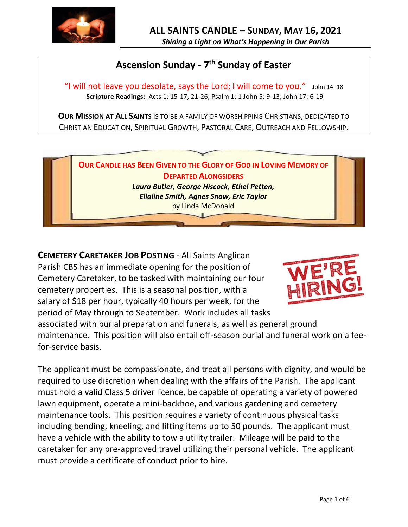

## **Ascension Sunday - 7 th Sunday of Easter**

"I will not leave you desolate, says the Lord; I will come to you."  $\mu$  John 14: 18 **Scripture Readings:** Acts 1: 15-17, 21-26; Psalm 1; 1 John 5: 9-13; John 17: 6-19

**OUR MISSION AT ALL SAINTS** IS TO BE A FAMILY OF WORSHIPPING CHRISTIANS, DEDICATED TO CHRISTIAN EDUCATION, SPIRITUAL GROWTH, PASTORAL CARE, OUTREACH AND FELLOWSHIP.



**CEMETERY CARETAKER JOB POSTING** - All Saints Anglican Parish CBS has an immediate opening for the position of Cemetery Caretaker, to be tasked with maintaining our four cemetery properties. This is a seasonal position, with a salary of \$18 per hour, typically 40 hours per week, for the period of May through to September. Work includes all tasks



associated with burial preparation and funerals, as well as general ground maintenance. This position will also entail off-season burial and funeral work on a feefor-service basis.

The applicant must be compassionate, and treat all persons with dignity, and would be required to use discretion when dealing with the affairs of the Parish. The applicant must hold a valid Class 5 driver licence, be capable of operating a variety of powered lawn equipment, operate a mini-backhoe, and various gardening and cemetery maintenance tools. This position requires a variety of continuous physical tasks including bending, kneeling, and lifting items up to 50 pounds. The applicant must have a vehicle with the ability to tow a utility trailer. Mileage will be paid to the caretaker for any pre-approved travel utilizing their personal vehicle. The applicant must provide a certificate of conduct prior to hire.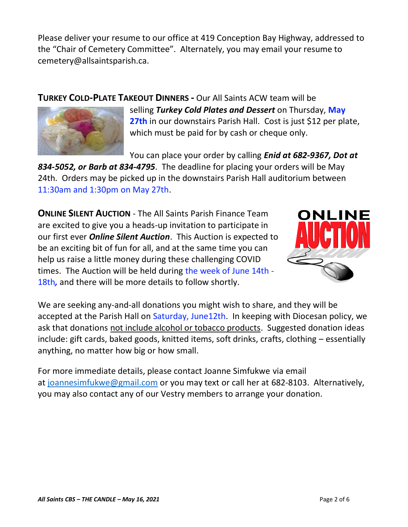Please deliver your resume to our office at 419 Conception Bay Highway, addressed to the "Chair of Cemetery Committee". Alternately, you may email your resume to cemetery@allsaintsparish.ca.

**TURKEY COLD-PLATE TAKEOUT DINNERS -** Our All Saints ACW team will be



selling *Turkey Cold Plates and Dessert* on Thursday, **May 27th** in our downstairs Parish Hall. Cost is just \$12 per plate, which must be paid for by cash or cheque only.

You can place your order by calling *Enid at 682-9367, Dot at* 

*834-5052, or Barb at 834-4795*. The deadline for placing your orders will be May 24th. Orders may be picked up in the downstairs Parish Hall auditorium between 11:30am and 1:30pm on May 27th.

**ONLINE SILENT AUCTION** - The All Saints Parish Finance Team are excited to give you a heads-up invitation to participate in our first ever *Online Silent Auction*. This Auction is expected to be an exciting bit of fun for all, and at the same time you can help us raise a little money during these challenging COVID times. The Auction will be held during the week of June 14th - 18th*,* and there will be more details to follow shortly.



We are seeking any-and-all donations you might wish to share, and they will be accepted at the Parish Hall on Saturday, June12th. In keeping with Diocesan policy, we ask that donations not include alcohol or tobacco products. Suggested donation ideas include: gift cards, baked goods, knitted items, soft drinks, crafts, clothing – essentially anything, no matter how big or how small.

For more immediate details, please contact Joanne Simfukwe via email at [joannesimfukwe@gmail.com](mailto:joannesimfukwe@gmail.com) or you may text or call her at 682-8103. Alternatively, you may also contact any of our Vestry members to arrange your donation.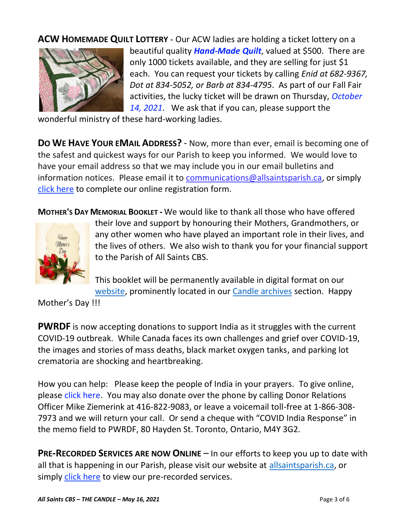**ACW HOMEMADE QUILT LOTTERY** - Our ACW ladies are holding a ticket lottery on a



beautiful quality *Hand-Made Quilt*, valued at \$500. There are only 1000 tickets available, and they are selling for just \$1 each. You can request your tickets by calling *Enid at 682-9367, Dot at 834-5052, or Barb at 834-4795*. As part of our Fall Fair activities, the lucky ticket will be drawn on Thursday, *October 14, 2021*. We ask that if you can, please support the

wonderful ministry of these hard-working ladies.

**DO WE HAVE YOUR EMAIL ADDRESS?** - Now, more than ever, email is becoming one of the safest and quickest ways for our Parish to keep you informed. We would love to have your email address so that we may include you in our email bulletins and information notices. Please email it to [communications@allsaintsparish.ca,](mailto:communications@allsaintsparish.ca?subject=eMail%20Address%20Update) or simply [click here](http://allsaintsparish.ca/email_updates) to complete our online registration form.

**MOTHER'S DAY MEMORIAL BOOKLET -** We would like to thank all those who have offered



their love and support by honouring their Mothers, Grandmothers, or any other women who have played an important role in their lives, and the lives of others. We also wish to thank you for your financial support to the Parish of All Saints CBS.

This booklet will be permanently available in digital format on our [website,](/Users/ralphfagan/Documents/All%20Saints%20Parish/Candle/ASP%202021%20Candle/allsaintsparish.ca) prominently located in our [Candle archives](http://allsaintsparish.ca/thecandle.html) section. Happy

Mother's Day !!!

**PWRDF** is now accepting donations to support India as it struggles with the current COVID-19 outbreak. While Canada faces its own challenges and grief over COVID-19, the images and stories of mass deaths, black market oxygen tanks, and parking lot crematoria are shocking and heartbreaking.

How you can help: Please keep the people of India in your prayers. To give online, please [click here.](https://interland3.donorperfect.net/weblink/WebLink.aspx?name=E344492QE&id=29) You may also donate over the phone by calling Donor Relations Officer Mike Ziemerink at 416-822-9083, or leave a voicemail toll-free at 1-866-308- 7973 and we will return your call. Or send a cheque with "COVID India Response" in the memo field to PWRDF, 80 Hayden St. Toronto, Ontario, M4Y 3G2.

**PRE-RECORDED SERVICES ARE NOW ONLINE** – In our efforts to keep you up to date with all that is happening in our Parish, please visit our website at [allsaintsparish.ca,](http://allsaintsparish.ca/) or simply [click here](http://allsaintsparish.ca/recorded-church-services) to view our pre-recorded services.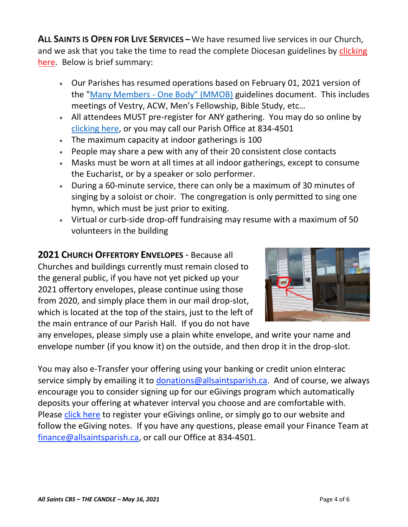**ALL SAINTS IS OPEN FOR LIVE SERVICES –** We have resumed live services in our Church, and we ask that you take the time to read the complete Diocesan guidelines by clicking [here.](http://allsaintsparish.ca/document_library/COVID-19/210324%20COVID-19%20Revised%20Alert%20Level%202%20effective%20March%2027%202021.pdf) Below is brief summary:

- Our Parishes has resumed operations based on February 01, 2021 version of the "Many Members - [One Body" \(MMOB\)](https://anglicanenl.net/home/wp-content/uploads/2021/02/Many-Members-One-Body-February-2021.pdf) guidelines document. This includes meetings of Vestry, ACW, Men's Fellowship, Bible Study, etc…
- All attendees MUST pre-register for ANY gathering. You may do so online by [clicking here,](http://allsaintsparish.ca/covid-pre-registration-form) or you may call our Parish Office at 834-4501
- The maximum capacity at indoor gatherings is 100
- People may share a pew with any of their 20 consistent close contacts
- Masks must be worn at all times at all indoor gatherings, except to consume the Eucharist, or by a speaker or solo performer.
- During a 60-minute service, there can only be a maximum of 30 minutes of singing by a soloist or choir. The congregation is only permitted to sing one hymn, which must be just prior to exiting.
- Virtual or curb-side drop-off fundraising may resume with a maximum of 50 volunteers in the building

**2021 CHURCH OFFERTORY ENVELOPES** - Because all Churches and buildings currently must remain closed to the general public, if you have not yet picked up your 2021 offertory envelopes, please continue using those from 2020, and simply place them in our mail drop-slot, which is located at the top of the stairs, just to the left of the main entrance of our Parish Hall. If you do not have



any envelopes, please simply use a plain white envelope, and write your name and envelope number (if you know it) on the outside, and then drop it in the drop-slot.

You may also e-Transfer your offering using your banking or credit union eInterac service simply by emailing it to [donations@allsaintsparish.ca.](mailto:donations@allsaintsparish.ca) And of course, we always encourage you to consider signing up for our eGivings program which automatically deposits your offering at whatever interval you choose and are comfortable with. Please [click here](http://allsaintsparish.ca/egiving-online-information-form) to register your eGivings online, or simply go to our website and follow the eGiving notes. If you have [any](https://wfsites-to.websitecreatorprotool.com/870a5dd5.com/Admin/%7BSK_NODEID__22939341__SK%7D) questions, please email your Finance Team at [finance@allsaintsparish.ca,](mailto:finance@allsaintsparish.ca) or call our Office at 834-4501.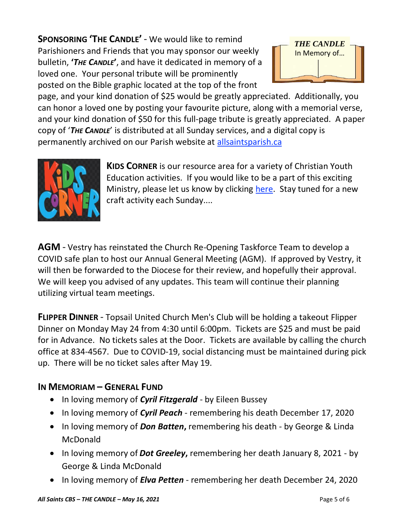**SPONSORING 'THE CANDLE'** - We would like to remind Parishioners and Friends that you may sponsor our weekly bulletin, **'***THE CANDLE***'**, and have it dedicated in memory of a loved one. Your personal tribute will be prominently posted on the Bible graphic located at the top of the front



page, and your kind donation of \$25 would be greatly appreciated. Additionally, you can honor a loved one by posting your favourite picture, along with a memorial verse, and your kind donation of \$50 for this full-page tribute is greatly appreciated. A paper copy of '*THE CANDLE*' is distributed at all Sunday services, and a digital copy is permanently archived on our Parish website at [allsaintsparish.ca](http://allsaintsparish.ca/thecandle.html)



**KIDS CORNER** is our resource area for a variety of Christian Youth Education activities. If you would like to be a part of this exciting Ministry, please let us know by clicking [here.](http://allsaintsparish.ca/index.html#comments) Stay tuned for a new craft activity each Sunday....

**AGM** - Vestry has reinstated the Church Re-Opening Taskforce Team to develop a COVID safe plan to host our Annual General Meeting (AGM). If approved by Vestry, it will then be forwarded to the Diocese for their review, and hopefully their approval. We will keep you advised of any updates. This team will continue their planning utilizing virtual team meetings.

**FLIPPER DINNER** - Topsail United Church Men's Club will be holding a takeout Flipper Dinner on Monday May 24 from 4:30 until 6:00pm. Tickets are \$25 and must be paid for in Advance. No tickets sales at the Door. Tickets are available by calling the church office at 834-4567. Due to COVID-19, social distancing must be maintained during pick up. There will be no ticket sales after May 19.

## **IN MEMORIAM – GENERAL FUND**

- In loving memory of *Cyril Fitzgerald* by Eileen Bussey
- In loving memory of *Cyril Peach* remembering his death December 17, 2020
- In loving memory of *Don Batten***,** remembering his death by George & Linda McDonald
- In loving memory of *Dot Greeley***,** remembering her death January 8, 2021 by George & Linda McDonald
- In loving memory of *Elva Petten* remembering her death December 24, 2020